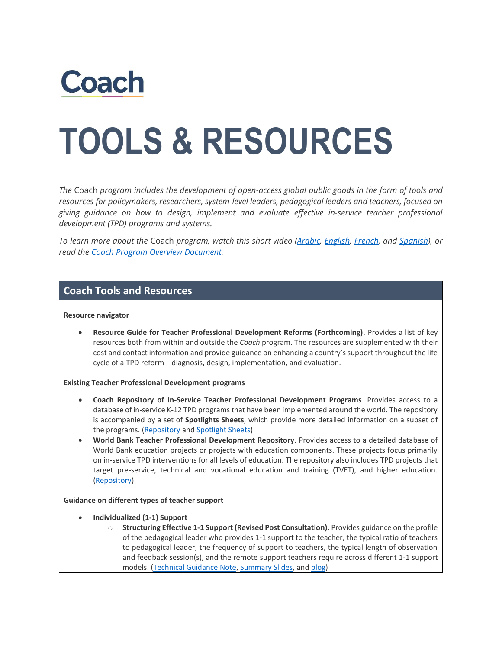

# **TOOLS & RESOURCES**

*The* Coach *program includes the development of open-access global public goods in the form of tools and resources for policymakers, researchers, system-level leaders, pedagogical leaders and teachers, focused on giving guidance on how to design, implement and evaluate effective in-service teacher professional development (TPD) programs and systems.*

*To learn more about the* Coach *program, watch this short video [\(Arabic,](https://youtu.be/8TNOT4y_-KQ) [English,](https://youtu.be/WujoPWASAho) [French,](https://youtu.be/Q8rHmh5SZaM) and [Spanish\)](https://youtu.be/BCCrnX2QIOc), or read the Coach Program [Overview Document.](https://thedocs.worldbank.org/en/doc/b455af6f955a971fd29157524f9d190a-0140052021/related/Coach-Program-Overview-Document.pdf)*

## **Coach Tools and Resources**

#### **Resource navigator**

• **Resource Guide for Teacher Professional Development Reforms (Forthcoming)**. Provides a list of key resources both from within and outside the *Coach* program. The resources are supplemented with their cost and contact information and provide guidance on enhancing a country's support throughout the life cycle of a TPD reform—diagnosis, design, implementation, and evaluation.

#### **Existing Teacher Professional Development programs**

- **Coach Repository of In-Service Teacher Professional Development Programs**. Provides access to a database of in-service K-12 TPD programs that have been implemented around the world. The repository is accompanied by a set of **Spotlights Sheets**, which provide more detailed information on a subset of the programs. [\(Repository](http://documents.worldbank.org/curated/en/476841630423265099/Coach-Repository-of-In-Service-Teacher-Professional-Development-Programs) and [Spotlight Sheets\)](https://documents.worldbank.org/en/publication/documents-reports/documentlist?colti=%22coach)
- **World Bank Teacher Professional Development Repository**. Provides access to a detailed database of World Bank education projects or projects with education components. These projects focus primarily on in-service TPD interventions for all levels of education. The repository also includes TPD projects that target pre-service, technical and vocational education and training (TVET), and higher education. [\(Repository\)](http://documents.worldbank.org/curated/en/565931630423561518/World-Bank-Teacher-Professional-Development-Repository)

### **Guidance on different types of teacher support**

- **Individualized (1-1) Support** 
	- o **Structuring Effective 1-1 Support (Revised Post Consultation)**. Provides guidance on the profile of the pedagogical leader who provides 1-1 support to the teacher, the typical ratio of teachers to pedagogical leader, the frequency of support to teachers, the typical length of observation and feedback session(s), and the remote support teachers require across different 1-1 support models. [\(Technical Guidance Note,](https://documents.worldbank.org/en/publication/documents-reports/documentdetail/302121614665652823/structuring-effective-1-1-support-technical-guidance-note) [Summary Slides,](http://documents.worldbank.org/curated/en/995641630086409698/Summary) an[d blog\)](https://blogs.worldbank.org/education/8-tips-structure-effective-one-one-support-systems-teachers)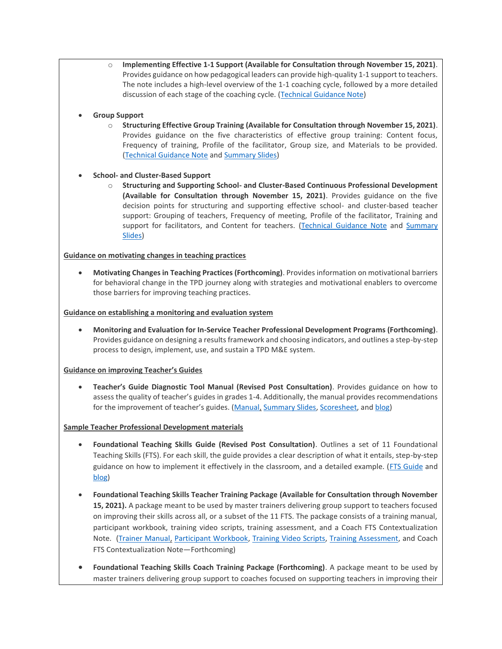- o **Implementing Effective 1-1 Support (Available for Consultation through November 15, 2021)**. Provides guidance on how pedagogical leaders can provide high-quality 1-1 support to teachers. The note includes a high-level overview of the 1-1 coaching cycle, followed by a more detailed discussion of each stage of the coaching cycle. [\(Technical Guidance Note\)](http://documents.worldbank.org/curated/en/589311630358726963/Technical-Guidance-Note)
- **Group Support**
	- o **Structuring Effective Group Training (Available for Consultation through November 15, 2021)**. Provides guidance on the five characteristics of effective group training: Content focus, Frequency of training, Profile of the facilitator, Group size, and Materials to be provided. [\(Technical Guidance Note](http://documents.worldbank.org/curated/en/166681630357994286/Technical-Guidance-Note) an[d Summary Slides\)](http://documents.worldbank.org/curated/en/559451630358229554/Technical-Guidance-Summary)
- **School- and Cluster-Based Support**
	- o **Structuring and Supporting School- and Cluster-Based Continuous Professional Development (Available for Consultation through November 15, 2021)**. Provides guidance on the five decision points for structuring and supporting effective school- and cluster-based teacher support: Grouping of teachers, Frequency of meeting, Profile of the facilitator, Training and support for facilitators, and Content for teachers. [\(Technical Guidance Note](http://documents.worldbank.org/curated/en/655161630089624409/A-Technical-Guidance-Note) and Summary [Slides\)](http://documents.worldbank.org/curated/en/596711630090485764/Technical-Guidance-Summary)

#### **Guidance on motivating changes in teaching practices**

• **Motivating Changes in Teaching Practices (Forthcoming)**. Provides information on motivational barriers for behavioral change in the TPD journey along with strategies and motivational enablers to overcome those barriers for improving teaching practices.

#### **Guidance on establishing a monitoring and evaluation system**

• **Monitoring and Evaluation for In-Service Teacher Professional Development Programs (Forthcoming)**. Provides guidance on designing a results framework and choosing indicators, and outlines a step-by-step process to design, implement, use, and sustain a TPD M&E system.

#### **Guidance on improving Teacher's Guides**

• **Teacher's Guide Diagnostic Tool Manual (Revised Post Consultation)**. Provides guidance on how to assess the quality of teacher's guides in grades 1-4. Additionally, the manual provides recommendations for the improvement of teacher's guides. ([Manual,](https://documents.worldbank.org/en/publication/documents-reports/documentdetail/676201616097288750/manual) [Summary Slides,](http://documents.worldbank.org/curated/en/775931630087054984/Summary) [Scoresheet,](https://documents.worldbank.org/en/publication/documents-reports/documentdetail/870691616097552550/scoresheet) an[d blog\)](https://blogs.worldbank.org/education/raising-foundation-without-lowering-ceiling-how-utilize-teachers-guides-facilitate-high)

#### **Sample Teacher Professional Development materials**

- **Foundational Teaching Skills Guide (Revised Post Consultation)**. Outlines a set of 11 Foundational Teaching Skills (FTS). For each skill, the guide provides a clear description of what it entails, step-by-step guidance on how to implement it effectively in the classroom, and a detailed example. [\(FTS Guide](https://documents.worldbank.org/en/publication/documents-reports/documentdetail/268121613971613659/foundational-teaching-skills) and [blog\)](https://blogs.worldbank.org/education/breaking-old-habits-and-adopting-new-ones-how-change-teaching-practice-when-change-hard)
- **Foundational Teaching Skills Teacher Training Package (Available for Consultation through November 15, 2021).** A package meant to be used by master trainers delivering group support to teachers focused on improving their skills across all, or a subset of the 11 FTS. The package consists of a training manual, participant workbook, training video scripts, training assessment, and a Coach FTS Contextualization Note. [\(Trainer Manual,](http://documents.worldbank.org/curated/en/980571631111905045/Trainer-Manual) [Participant Workbook,](http://documents.worldbank.org/curated/en/519701631114401569/Foundational-Teaching-Skills) [Training Video Scripts,](http://documents.worldbank.org/curated/en/122451631114832320/Training-Video-Scripts) [Training Assessment,](http://documents.worldbank.org/curated/en/736271631116206073/Training-Assessment) and Coach FTS Contextualization Note—Forthcoming)
- **Foundational Teaching Skills Coach Training Package (Forthcoming)**. A package meant to be used by master trainers delivering group support to coaches focused on supporting teachers in improving their